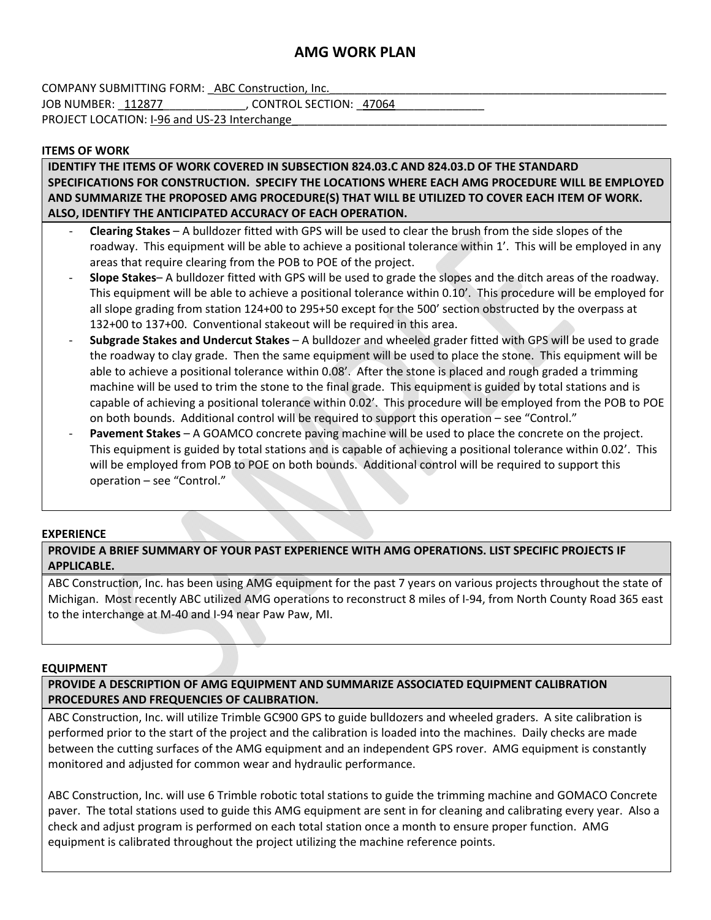# **AMG WORK PLAN**

COMPANY SUBMITTING FORM: ABC Construction, Inc. JOB NUMBER: 112877 GONTROL SECTION: 47064 PROJECT LOCATION: I-96 and US-23 Interchange

### **ITEMS OF WORK**

**IDENTIFY THE ITEMS OF WORK COVERED IN SUBSECTION 824.03.C AND 824.03.D OF THE STANDARD SPECIFICATIONS FOR CONSTRUCTION. SPECIFY THE LOCATIONS WHERE EACH AMG PROCEDURE WILL BE EMPLOYED AND SUMMARIZE THE PROPOSED AMG PROCEDURE(S) THAT WILL BE UTILIZED TO COVER EACH ITEM OF WORK. ALSO, IDENTIFY THE ANTICIPATED ACCURACY OF EACH OPERATION.**

- ‐ **Clearing Stakes** A bulldozer fitted with GPS will be used to clear the brush from the side slopes of the roadway. This equipment will be able to achieve a positional tolerance within 1'. This will be employed in any areas that require clearing from the POB to POE of the project.
- ‐ **Slope Stakes** A bulldozer fitted with GPS will be used to grade the slopes and the ditch areas of the roadway. This equipment will be able to achieve a positional tolerance within 0.10'. This procedure will be employed for all slope grading from station 124+00 to 295+50 except for the 500' section obstructed by the overpass at 132+00 to 137+00. Conventional stakeout will be required in this area.
- ‐ **Subgrade Stakes and Undercut Stakes** A bulldozer and wheeled grader fitted with GPS will be used to grade the roadway to clay grade. Then the same equipment will be used to place the stone. This equipment will be able to achieve a positional tolerance within 0.08'. After the stone is placed and rough graded a trimming machine will be used to trim the stone to the final grade. This equipment is guided by total stations and is capable of achieving a positional tolerance within 0.02'. This procedure will be employed from the POB to POE on both bounds. Additional control will be required to support this operation – see "Control."
- ‐ **Pavement Stakes** A GOAMCO concrete paving machine will be used to place the concrete on the project. This equipment is guided by total stations and is capable of achieving a positional tolerance within 0.02'. This will be employed from POB to POE on both bounds. Additional control will be required to support this operation – see "Control."

### **EXPERIENCE**

**PROVIDE A BRIEF SUMMARY OF YOUR PAST EXPERIENCE WITH AMG OPERATIONS. LIST SPECIFIC PROJECTS IF APPLICABLE.**

ABC Construction, Inc. has been using AMG equipment for the past 7 years on various projects throughout the state of Michigan. Most recently ABC utilized AMG operations to reconstruct 8 miles of I‐94, from North County Road 365 east to the interchange at M‐40 and I‐94 near Paw Paw, MI.

### **EQUIPMENT**

**PROVIDE A DESCRIPTION OF AMG EQUIPMENT AND SUMMARIZE ASSOCIATED EQUIPMENT CALIBRATION PROCEDURES AND FREQUENCIES OF CALIBRATION.**

ABC Construction, Inc. will utilize Trimble GC900 GPS to guide bulldozers and wheeled graders. A site calibration is performed prior to the start of the project and the calibration is loaded into the machines. Daily checks are made between the cutting surfaces of the AMG equipment and an independent GPS rover. AMG equipment is constantly monitored and adjusted for common wear and hydraulic performance.

ABC Construction, Inc. will use 6 Trimble robotic total stations to guide the trimming machine and GOMACO Concrete paver. The total stations used to guide this AMG equipment are sent in for cleaning and calibrating every year. Also a check and adjust program is performed on each total station once a month to ensure proper function. AMG equipment is calibrated throughout the project utilizing the machine reference points.